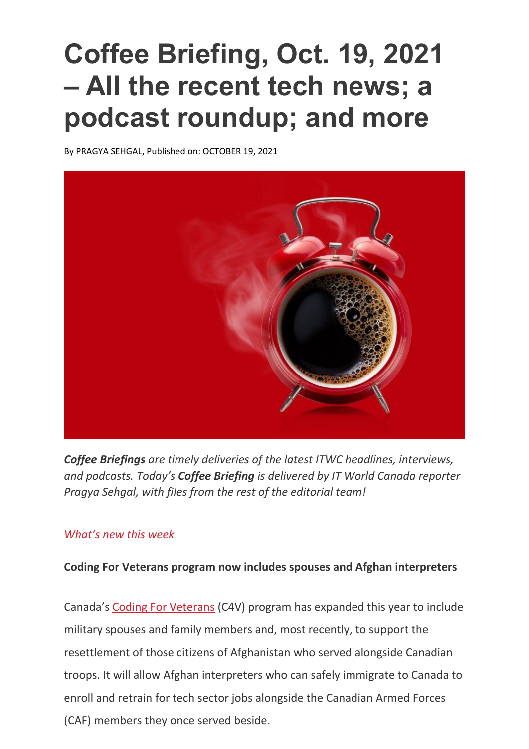## **Coffee Briefing, Oct. 19, 2021 – All the recent tech news; a podcast roundup; and more**

B[y PRAGYA SEHGAL,](https://www.itworldcanada.com/author/psehgal) Published on: OCTOBER 19, 2021



*Coffee Briefings are timely deliveries of the latest ITWC headlines, interviews, and podcasts. Today's Coffee Briefing is delivered by IT World Canada reporter Pragya Sehgal, with files from the rest of the editorial team!*

## *What's new this week*

## **Coding For Veterans program now includes spouses and Afghan interpreters**

Canada's [Coding For Veterans](https://www.codingforveterans.com/) (C4V) program has expanded this year to include military spouses and family members and, most recently, to support the resettlement of those citizens of Afghanistan who served alongside Canadian troops. It will allow Afghan interpreters who can safely immigrate to Canada to enroll and retrain for tech sector jobs alongside the Canadian Armed Forces (CAF) members they once served beside.